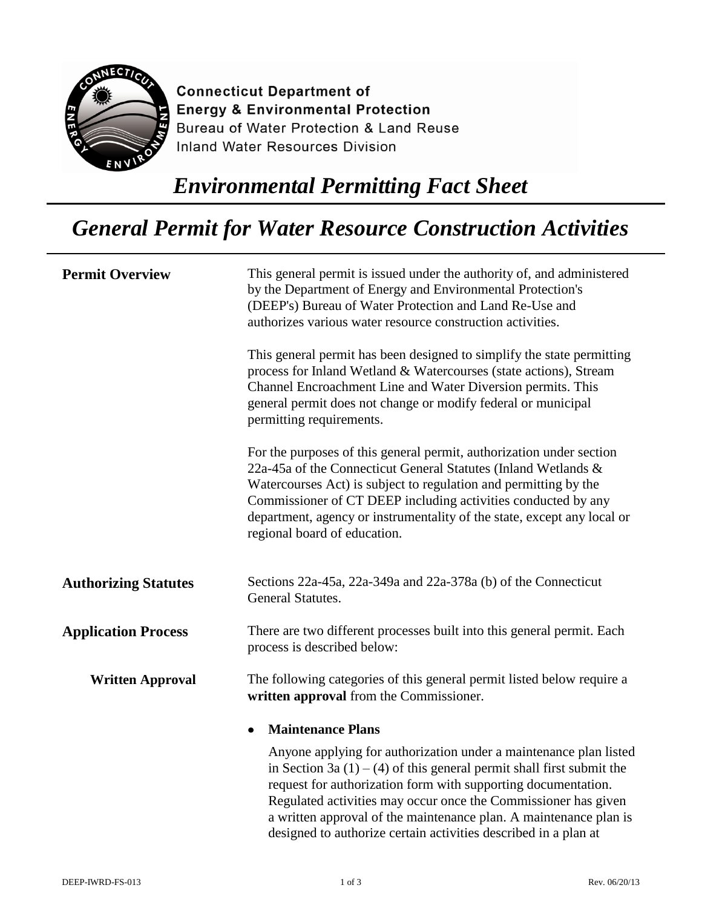

**Connecticut Department of Energy & Environmental Protection** Bureau of Water Protection & Land Reuse **Inland Water Resources Division** 

## *Environmental Permitting Fact Sheet*

## *General Permit for Water Resource Construction Activities*

| <b>Permit Overview</b>      | This general permit is issued under the authority of, and administered<br>by the Department of Energy and Environmental Protection's<br>(DEEP's) Bureau of Water Protection and Land Re-Use and<br>authorizes various water resource construction activities.                                                                                                                                                           |
|-----------------------------|-------------------------------------------------------------------------------------------------------------------------------------------------------------------------------------------------------------------------------------------------------------------------------------------------------------------------------------------------------------------------------------------------------------------------|
|                             | This general permit has been designed to simplify the state permitting<br>process for Inland Wetland & Watercourses (state actions), Stream<br>Channel Encroachment Line and Water Diversion permits. This<br>general permit does not change or modify federal or municipal<br>permitting requirements.                                                                                                                 |
|                             | For the purposes of this general permit, authorization under section<br>22a-45a of the Connecticut General Statutes (Inland Wetlands &<br>Watercourses Act) is subject to regulation and permitting by the<br>Commissioner of CT DEEP including activities conducted by any<br>department, agency or instrumentality of the state, except any local or<br>regional board of education.                                  |
| <b>Authorizing Statutes</b> | Sections 22a-45a, 22a-349a and 22a-378a (b) of the Connecticut<br>General Statutes.                                                                                                                                                                                                                                                                                                                                     |
| <b>Application Process</b>  | There are two different processes built into this general permit. Each<br>process is described below:                                                                                                                                                                                                                                                                                                                   |
| <b>Written Approval</b>     | The following categories of this general permit listed below require a<br>written approval from the Commissioner.                                                                                                                                                                                                                                                                                                       |
|                             | <b>Maintenance Plans</b>                                                                                                                                                                                                                                                                                                                                                                                                |
|                             | Anyone applying for authorization under a maintenance plan listed<br>in Section 3a $(1) - (4)$ of this general permit shall first submit the<br>request for authorization form with supporting documentation.<br>Regulated activities may occur once the Commissioner has given<br>a written approval of the maintenance plan. A maintenance plan is<br>designed to authorize certain activities described in a plan at |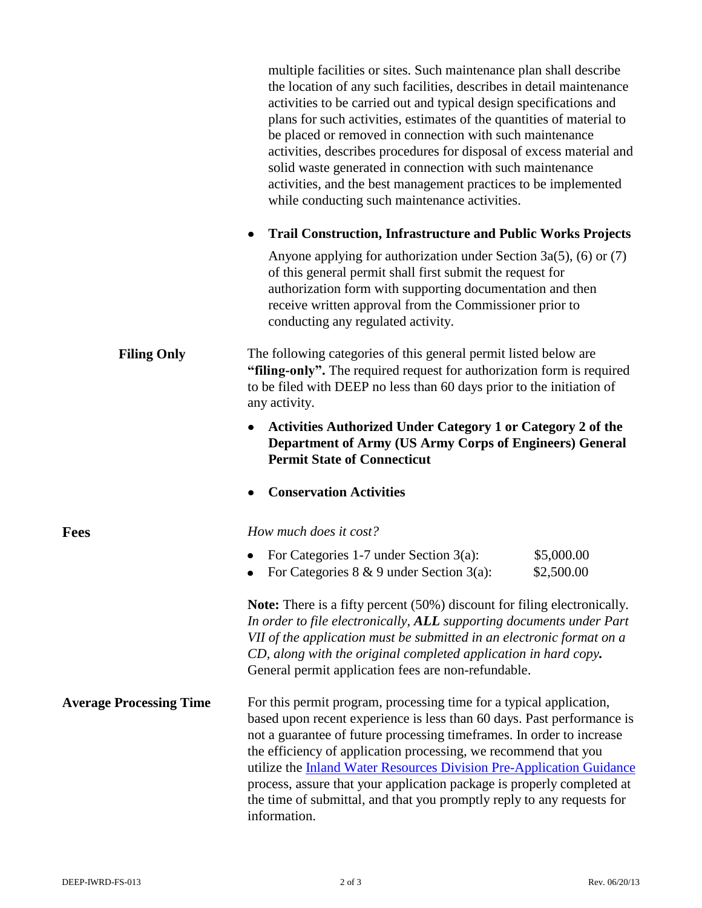|                                | multiple facilities or sites. Such maintenance plan shall describe<br>the location of any such facilities, describes in detail maintenance<br>activities to be carried out and typical design specifications and<br>plans for such activities, estimates of the quantities of material to<br>be placed or removed in connection with such maintenance<br>activities, describes procedures for disposal of excess material and<br>solid waste generated in connection with such maintenance<br>activities, and the best management practices to be implemented<br>while conducting such maintenance activities. |
|--------------------------------|----------------------------------------------------------------------------------------------------------------------------------------------------------------------------------------------------------------------------------------------------------------------------------------------------------------------------------------------------------------------------------------------------------------------------------------------------------------------------------------------------------------------------------------------------------------------------------------------------------------|
|                                | <b>Trail Construction, Infrastructure and Public Works Projects</b><br>٠                                                                                                                                                                                                                                                                                                                                                                                                                                                                                                                                       |
|                                | Anyone applying for authorization under Section 3a(5), (6) or $(7)$<br>of this general permit shall first submit the request for<br>authorization form with supporting documentation and then<br>receive written approval from the Commissioner prior to<br>conducting any regulated activity.                                                                                                                                                                                                                                                                                                                 |
| <b>Filing Only</b>             | The following categories of this general permit listed below are<br>"filing-only". The required request for authorization form is required<br>to be filed with DEEP no less than 60 days prior to the initiation of<br>any activity.                                                                                                                                                                                                                                                                                                                                                                           |
|                                | <b>Activities Authorized Under Category 1 or Category 2 of the</b><br>$\bullet$<br><b>Department of Army (US Army Corps of Engineers) General</b><br><b>Permit State of Connecticut</b>                                                                                                                                                                                                                                                                                                                                                                                                                        |
|                                | <b>Conservation Activities</b>                                                                                                                                                                                                                                                                                                                                                                                                                                                                                                                                                                                 |
| Fees                           | How much does it cost?                                                                                                                                                                                                                                                                                                                                                                                                                                                                                                                                                                                         |
|                                | \$5,000.00<br>For Categories 1-7 under Section $3(a)$ :<br>For Categories $8 \& 9$ under Section 3(a):<br>\$2,500.00                                                                                                                                                                                                                                                                                                                                                                                                                                                                                           |
|                                | <b>Note:</b> There is a fifty percent (50%) discount for filing electronically.<br>In order to file electronically, ALL supporting documents under Part<br>VII of the application must be submitted in an electronic format on a<br>CD, along with the original completed application in hard copy.<br>General permit application fees are non-refundable.                                                                                                                                                                                                                                                     |
| <b>Average Processing Time</b> | For this permit program, processing time for a typical application,<br>based upon recent experience is less than 60 days. Past performance is<br>not a guarantee of future processing timeframes. In order to increase<br>the efficiency of application processing, we recommend that you<br>utilize the <b>Inland Water Resources Division Pre-Application Guidance</b><br>process, assure that your application package is properly completed at<br>the time of submittal, and that you promptly reply to any requests for<br>information.                                                                   |